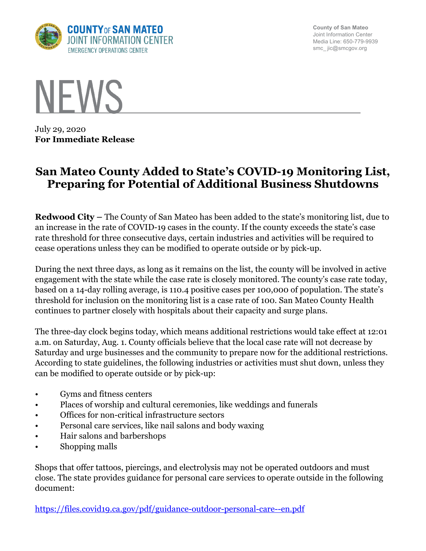

**County of San Mateo** Joint Information Center Media Line: 650-779-9939 smc\_ jic@smcgov.org



July 29, 2020 **For Immediate Release**

## **San Mateo County Added to State's COVID-19 Monitoring List, Preparing for Potential of Additional Business Shutdowns**

**Redwood City –** The County of San Mateo has been added to the state's monitoring list, due to an increase in the rate of COVID-19 cases in the county. If the county exceeds the state's case rate threshold for three consecutive days, certain industries and activities will be required to cease operations unless they can be modified to operate outside or by pick-up.

During the next three days, as long as it remains on the list, the county will be involved in active engagement with the state while the case rate is closely monitored. The county's case rate today, based on a 14-day rolling average, is 110.4 positive cases per 100,000 of population. The state's threshold for inclusion on the monitoring list is a case rate of 100. San Mateo County Health continues to partner closely with hospitals about their capacity and surge plans.

The three-day clock begins today, which means additional restrictions would take effect at 12:01 a.m. on Saturday, Aug. 1. County officials believe that the local case rate will not decrease by Saturday and urge businesses and the community to prepare now for the additional restrictions. According to state guidelines, the following industries or activities must shut down, unless they can be modified to operate outside or by pick-up:

- Gyms and fitness centers
- Places of worship and cultural ceremonies, like weddings and funerals
- Offices for non-critical infrastructure sectors
- Personal care services, like nail salons and body waxing
- Hair salons and barbershops
- Shopping malls

Shops that offer tattoos, piercings, and electrolysis may not be operated outdoors and must close. The state provides guidance for personal care services to operate outside in the following document:

https://files.covid19.ca.gov/pdf/guidance-outdoor-personal-care--en.pdf